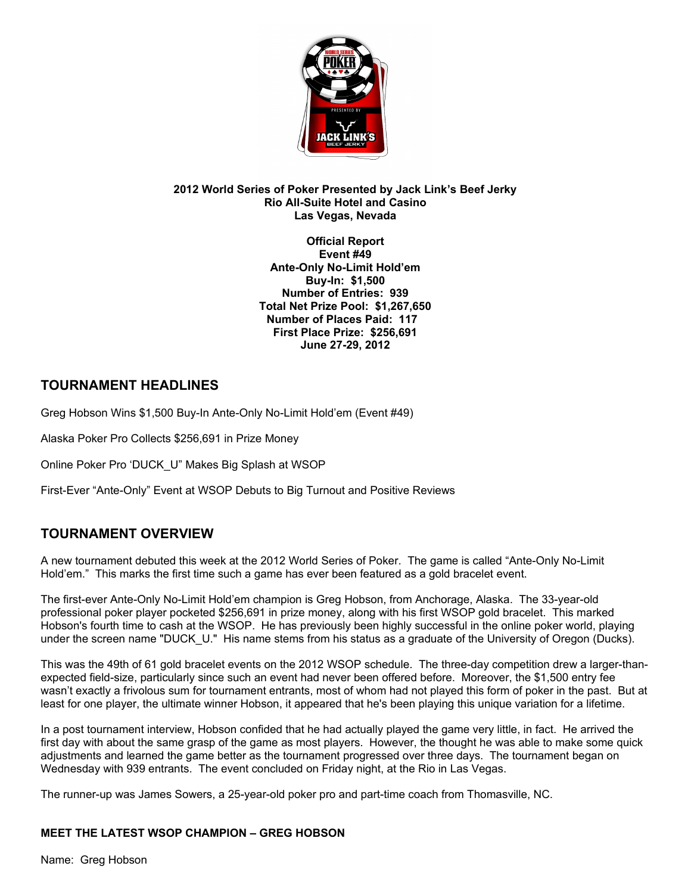

#### **2012 World Series of Poker Presented by Jack Link's Beef Jerky Rio All-Suite Hotel and Casino Las Vegas, Nevada**

**Official Report Event #49 Ante-Only No-Limit Hold'em Buy-In: \$1,500 Number of Entries: 939 Total Net Prize Pool: \$1,267,650 Number of Places Paid: 117 First Place Prize: \$256,691 June 27-29, 2012**

## **TOURNAMENT HEADLINES**

Greg Hobson Wins \$1,500 Buy-In Ante-Only No-Limit Hold'em (Event #49)

Alaska Poker Pro Collects \$256,691 in Prize Money

Online Poker Pro 'DUCK\_U" Makes Big Splash at WSOP

First-Ever "Ante-Only" Event at WSOP Debuts to Big Turnout and Positive Reviews

# **TOURNAMENT OVERVIEW**

A new tournament debuted this week at the 2012 World Series of Poker. The game is called "Ante-Only No-Limit Hold'em." This marks the first time such a game has ever been featured as a gold bracelet event.

The first-ever Ante-Only No-Limit Hold'em champion is Greg Hobson, from Anchorage, Alaska. The 33-year-old professional poker player pocketed \$256,691 in prize money, along with his first WSOP gold bracelet. This marked Hobson's fourth time to cash at the WSOP. He has previously been highly successful in the online poker world, playing under the screen name "DUCK\_U." His name stems from his status as a graduate of the University of Oregon (Ducks).

This was the 49th of 61 gold bracelet events on the 2012 WSOP schedule. The three-day competition drew a larger-thanexpected field-size, particularly since such an event had never been offered before. Moreover, the \$1,500 entry fee wasn't exactly a frivolous sum for tournament entrants, most of whom had not played this form of poker in the past. But at least for one player, the ultimate winner Hobson, it appeared that he's been playing this unique variation for a lifetime.

In a post tournament interview, Hobson confided that he had actually played the game very little, in fact. He arrived the first day with about the same grasp of the game as most players. However, the thought he was able to make some quick adjustments and learned the game better as the tournament progressed over three days. The tournament began on Wednesday with 939 entrants. The event concluded on Friday night, at the Rio in Las Vegas.

The runner-up was James Sowers, a 25-year-old poker pro and part-time coach from Thomasville, NC.

### **MEET THE LATEST WSOP CHAMPION – GREG HOBSON**

Name: Greg Hobson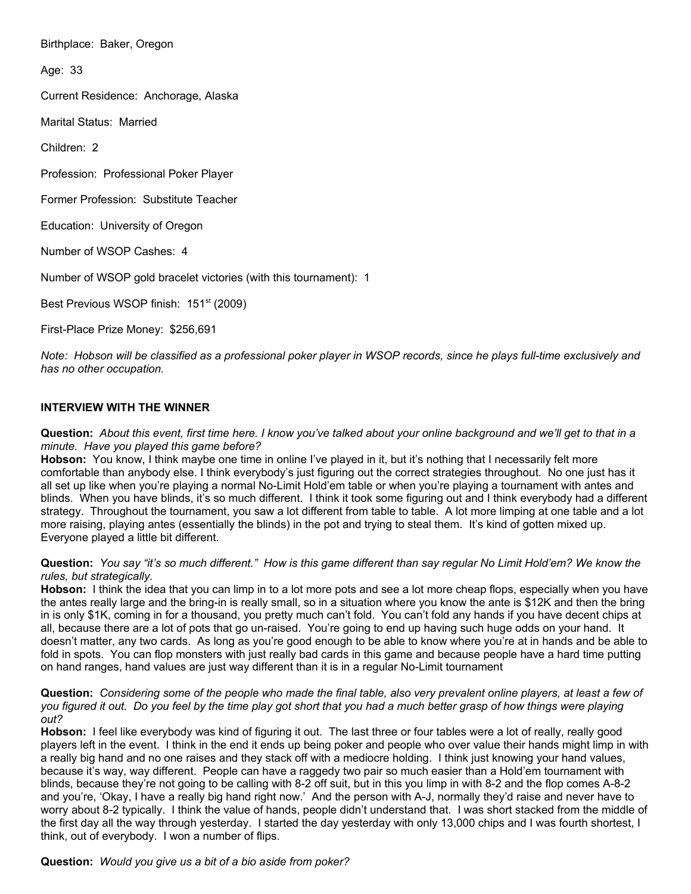Birthplace: Baker, Oregon

Age: 33

Current Residence: Anchorage, Alaska

Marital Status: Married

Children: 2

Profession: Professional Poker Player

Former Profession: Substitute Teacher

Education: University of Oregon

Number of WSOP Cashes: 4

Number of WSOP gold bracelet victories (with this tournament): 1

Best Previous WSOP finish: 151<sup>st</sup> (2009)

First-Place Prize Money: \$256,691

*Note: Hobson will be classified as a professional poker player in WSOP records, since he plays full-time exclusively and has no other occupation.*

#### **INTERVIEW WITH THE WINNER**

**Question:** *About this event, first time here. I know you've talked about your online background and we'll get to that in a minute. Have you played this game before?*

Hobson: You know, I think maybe one time in online I've played in it, but it's nothing that I necessarily felt more comfortable than anybody else. I think everybody's just figuring out the correct strategies throughout. No one just has it all set up like when you're playing a normal No-Limit Hold'em table or when you're playing a tournament with antes and blinds. When you have blinds, it's so much different. I think it took some figuring out and I think everybody had a different strategy. Throughout the tournament, you saw a lot different from table to table. A lot more limping at one table and a lot more raising, playing antes (essentially the blinds) in the pot and trying to steal them. It's kind of gotten mixed up. Everyone played a little bit different.

#### **Question:** *You say "it's so much different." How is this game different than say regular No Limit Hold'em? We know the rules, but strategically.*

**Hobson:** I think the idea that you can limp in to a lot more pots and see a lot more cheap flops, especially when you have the antes really large and the bring-in is really small, so in a situation where you know the ante is \$12K and then the bring in is only \$1K, coming in for a thousand, you pretty much can't fold. You can't fold any hands if you have decent chips at all, because there are a lot of pots that go un-raised. You're going to end up having such huge odds on your hand. It doesn't matter, any two cards. As long as you're good enough to be able to know where you're at in hands and be able to fold in spots. You can flop monsters with just really bad cards in this game and because people have a hard time putting on hand ranges, hand values are just way different than it is in a regular No-Limit tournament

**Question:** *Considering some of the people who made the final table, also very prevalent online players, at least a few of you figured it out. Do you feel by the time play got short that you had a much better grasp of how things were playing out?*

**Hobson:** I feel like everybody was kind of figuring it out. The last three or four tables were a lot of really, really good players left in the event. I think in the end it ends up being poker and people who over value their hands might limp in with a really big hand and no one raises and they stack off with a mediocre holding. I think just knowing your hand values, because it's way, way different. People can have a raggedy two pair so much easier than a Hold'em tournament with blinds, because they're not going to be calling with 8-2 off suit, but in this you limp in with 8-2 and the flop comes A-8-2 and you're, 'Okay, I have a really big hand right now.' And the person with A-J, normally they'd raise and never have to worry about 8-2 typically. I think the value of hands, people didn't understand that. I was short stacked from the middle of the first day all the way through yesterday. I started the day yesterday with only 13,000 chips and I was fourth shortest, I think, out of everybody. I won a number of flips.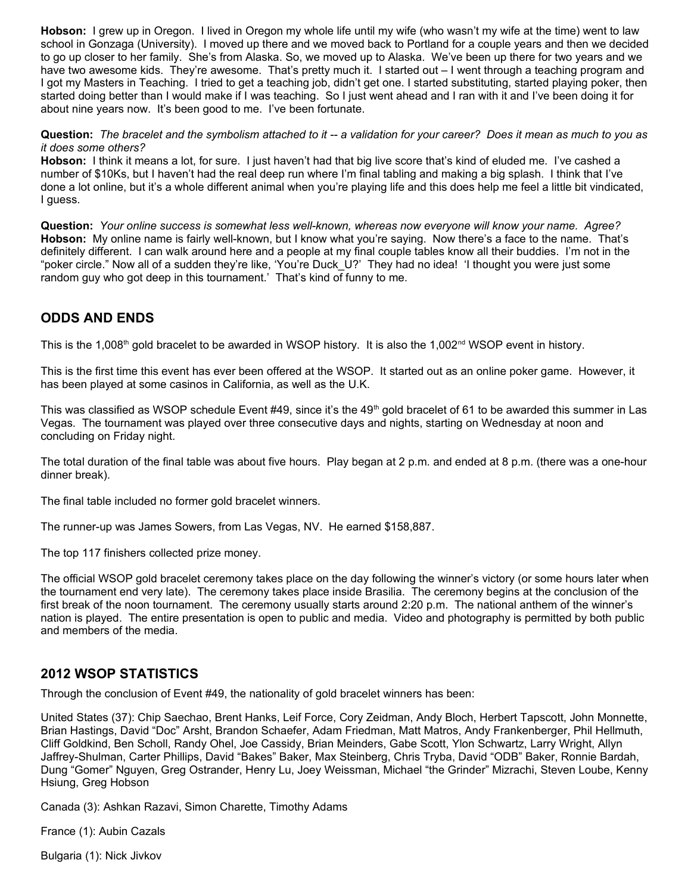**Hobson:** I grew up in Oregon. I lived in Oregon my whole life until my wife (who wasn't my wife at the time) went to law school in Gonzaga (University). I moved up there and we moved back to Portland for a couple years and then we decided to go up closer to her family. She's from Alaska. So, we moved up to Alaska. We've been up there for two years and we have two awesome kids. They're awesome. That's pretty much it. I started out – I went through a teaching program and I got my Masters in Teaching. I tried to get a teaching job, didn't get one. I started substituting, started playing poker, then started doing better than I would make if I was teaching. So I just went ahead and I ran with it and I've been doing it for about nine years now. It's been good to me. I've been fortunate.

**Question:** *The bracelet and the symbolism attached to it -- a validation for your career? Does it mean as much to you as it does some others?*

**Hobson:** I think it means a lot, for sure. I just haven't had that big live score that's kind of eluded me. I've cashed a number of \$10Ks, but I haven't had the real deep run where I'm final tabling and making a big splash. I think that I've done a lot online, but it's a whole different animal when you're playing life and this does help me feel a little bit vindicated, I guess.

**Question:** *Your online success is somewhat less well-known, whereas now everyone will know your name. Agree?*  **Hobson:** My online name is fairly well-known, but I know what you're saying. Now there's a face to the name. That's definitely different. I can walk around here and a people at my final couple tables know all their buddies. I'm not in the "poker circle." Now all of a sudden they're like, 'You're Duck\_U?' They had no idea! 'I thought you were just some random guy who got deep in this tournament.' That's kind of funny to me.

### **ODDS AND ENDS**

This is the 1,008<sup>th</sup> gold bracelet to be awarded in WSOP history. It is also the 1,002<sup>nd</sup> WSOP event in history.

This is the first time this event has ever been offered at the WSOP. It started out as an online poker game. However, it has been played at some casinos in California, as well as the U.K.

This was classified as WSOP schedule Event #49, since it's the 49<sup>th</sup> gold bracelet of 61 to be awarded this summer in Las Vegas. The tournament was played over three consecutive days and nights, starting on Wednesday at noon and concluding on Friday night.

The total duration of the final table was about five hours. Play began at 2 p.m. and ended at 8 p.m. (there was a one-hour dinner break).

The final table included no former gold bracelet winners.

The runner-up was James Sowers, from Las Vegas, NV. He earned \$158,887.

The top 117 finishers collected prize money.

The official WSOP gold bracelet ceremony takes place on the day following the winner's victory (or some hours later when the tournament end very late). The ceremony takes place inside Brasilia. The ceremony begins at the conclusion of the first break of the noon tournament. The ceremony usually starts around 2:20 p.m. The national anthem of the winner's nation is played. The entire presentation is open to public and media. Video and photography is permitted by both public and members of the media.

### **2012 WSOP STATISTICS**

Through the conclusion of Event #49, the nationality of gold bracelet winners has been:

United States (37): Chip Saechao, Brent Hanks, Leif Force, Cory Zeidman, Andy Bloch, Herbert Tapscott, John Monnette, Brian Hastings, David "Doc" Arsht, Brandon Schaefer, Adam Friedman, Matt Matros, Andy Frankenberger, Phil Hellmuth, Cliff Goldkind, Ben Scholl, Randy Ohel, Joe Cassidy, Brian Meinders, Gabe Scott, Ylon Schwartz, Larry Wright, Allyn Jaffrey-Shulman, Carter Phillips, David "Bakes" Baker, Max Steinberg, Chris Tryba, David "ODB" Baker, Ronnie Bardah, Dung "Gomer" Nguyen, Greg Ostrander, Henry Lu, Joey Weissman, Michael "the Grinder" Mizrachi, Steven Loube, Kenny Hsiung, Greg Hobson

Canada (3): Ashkan Razavi, Simon Charette, Timothy Adams

France (1): Aubin Cazals

Bulgaria (1): Nick Jivkov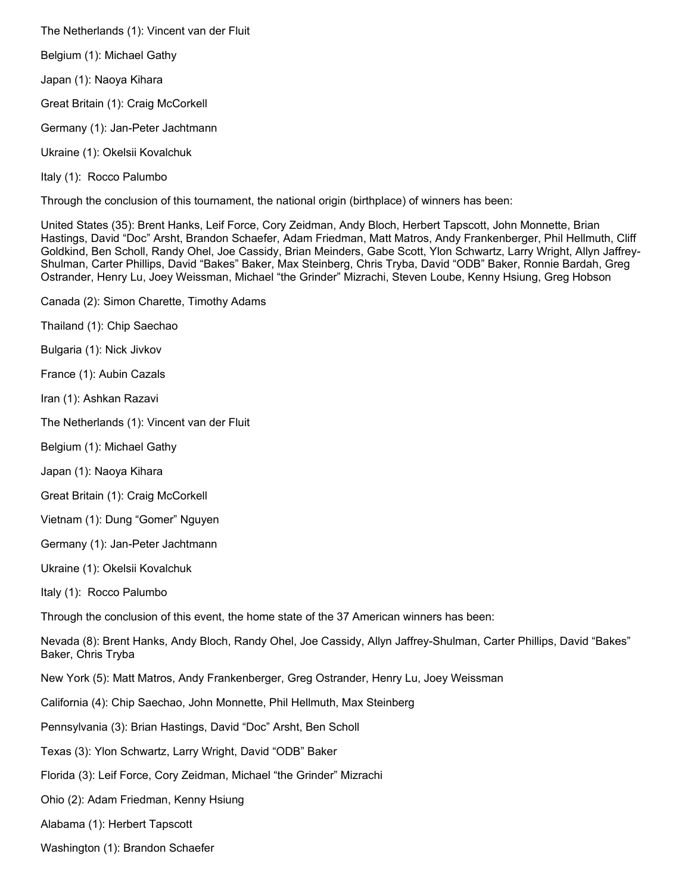The Netherlands (1): Vincent van der Fluit

Belgium (1): Michael Gathy

Japan (1): Naoya Kihara

Great Britain (1): Craig McCorkell

Germany (1): Jan-Peter Jachtmann

Ukraine (1): Okelsii Kovalchuk

Italy (1): Rocco Palumbo

Through the conclusion of this tournament, the national origin (birthplace) of winners has been:

United States (35): Brent Hanks, Leif Force, Cory Zeidman, Andy Bloch, Herbert Tapscott, John Monnette, Brian Hastings, David "Doc" Arsht, Brandon Schaefer, Adam Friedman, Matt Matros, Andy Frankenberger, Phil Hellmuth, Cliff Goldkind, Ben Scholl, Randy Ohel, Joe Cassidy, Brian Meinders, Gabe Scott, Ylon Schwartz, Larry Wright, Allyn Jaffrey-Shulman, Carter Phillips, David "Bakes" Baker, Max Steinberg, Chris Tryba, David "ODB" Baker, Ronnie Bardah, Greg Ostrander, Henry Lu, Joey Weissman, Michael "the Grinder" Mizrachi, Steven Loube, Kenny Hsiung, Greg Hobson

Canada (2): Simon Charette, Timothy Adams

Thailand (1): Chip Saechao

Bulgaria (1): Nick Jivkov

France (1): Aubin Cazals

Iran (1): Ashkan Razavi

The Netherlands (1): Vincent van der Fluit

Belgium (1): Michael Gathy

Japan (1): Naoya Kihara

Great Britain (1): Craig McCorkell

Vietnam (1): Dung "Gomer" Nguyen

Germany (1): Jan-Peter Jachtmann

Ukraine (1): Okelsii Kovalchuk

Italy (1): Rocco Palumbo

Through the conclusion of this event, the home state of the 37 American winners has been:

Nevada (8): Brent Hanks, Andy Bloch, Randy Ohel, Joe Cassidy, Allyn Jaffrey-Shulman, Carter Phillips, David "Bakes" Baker, Chris Tryba

New York (5): Matt Matros, Andy Frankenberger, Greg Ostrander, Henry Lu, Joey Weissman

California (4): Chip Saechao, John Monnette, Phil Hellmuth, Max Steinberg

Pennsylvania (3): Brian Hastings, David "Doc" Arsht, Ben Scholl

Texas (3): Ylon Schwartz, Larry Wright, David "ODB" Baker

Florida (3): Leif Force, Cory Zeidman, Michael "the Grinder" Mizrachi

Ohio (2): Adam Friedman, Kenny Hsiung

Alabama (1): Herbert Tapscott

Washington (1): Brandon Schaefer